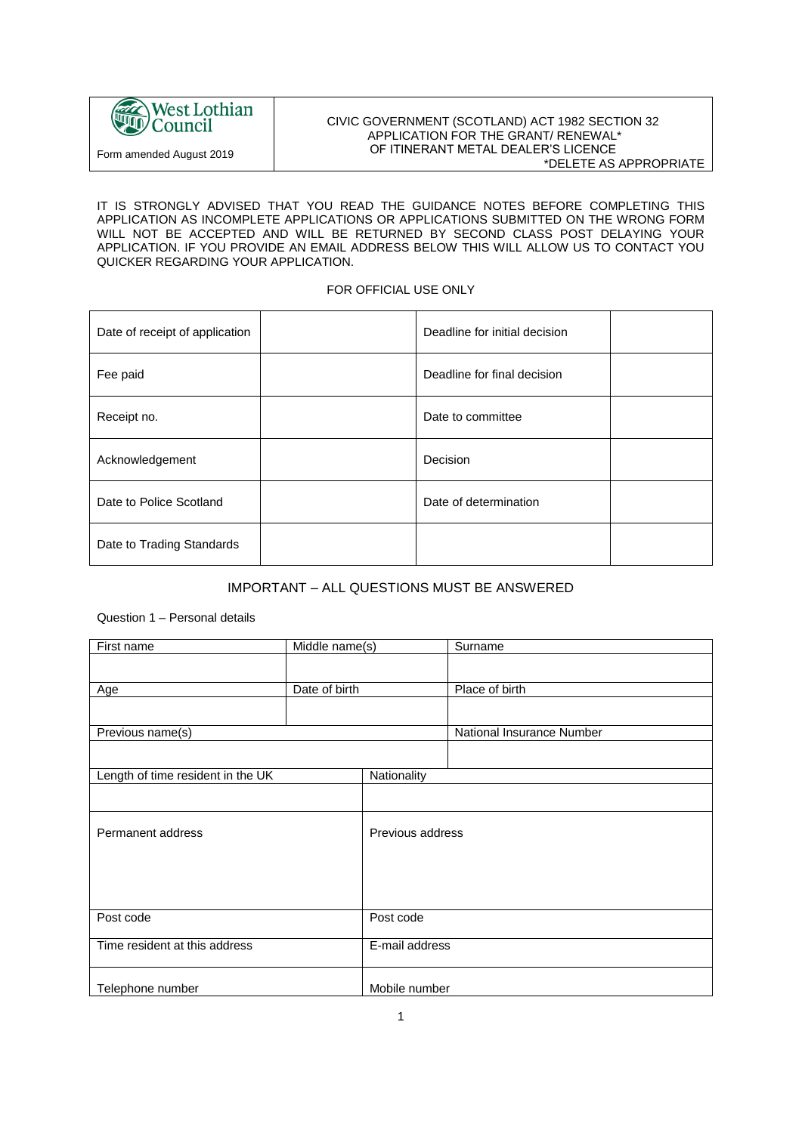

#### CIVIC GOVERNMENT (SCOTLAND) ACT 1982 SECTION 32 APPLICATION FOR THE GRANT/ RENEWAL\* OF ITINERANT METAL DEALER'S LICENCE \*DELETE AS APPROPRIATE

IT IS STRONGLY ADVISED THAT YOU READ THE GUIDANCE NOTES BEFORE COMPLETING THIS APPLICATION AS INCOMPLETE APPLICATIONS OR APPLICATIONS SUBMITTED ON THE WRONG FORM WILL NOT BE ACCEPTED AND WILL BE RETURNED BY SECOND CLASS POST DELAYING YOUR APPLICATION. IF YOU PROVIDE AN EMAIL ADDRESS BELOW THIS WILL ALLOW US TO CONTACT YOU QUICKER REGARDING YOUR APPLICATION.

#### FOR OFFICIAL USE ONLY

| Date of receipt of application | Deadline for initial decision |
|--------------------------------|-------------------------------|
| Fee paid                       | Deadline for final decision   |
| Receipt no.                    | Date to committee             |
| Acknowledgement                | Decision                      |
| Date to Police Scotland        | Date of determination         |
| Date to Trading Standards      |                               |

# IMPORTANT – ALL QUESTIONS MUST BE ANSWERED

### Question 1 – Personal details

| First name                        | Middle name(s) |                  | Surname                   |
|-----------------------------------|----------------|------------------|---------------------------|
|                                   |                |                  |                           |
|                                   |                |                  |                           |
| Age                               | Date of birth  |                  | Place of birth            |
|                                   |                |                  |                           |
| Previous name(s)                  |                |                  | National Insurance Number |
|                                   |                |                  |                           |
| Length of time resident in the UK |                | Nationality      |                           |
|                                   |                |                  |                           |
| Permanent address                 |                | Previous address |                           |
|                                   |                |                  |                           |
|                                   |                |                  |                           |
| Post code                         |                | Post code        |                           |
| Time resident at this address     |                | E-mail address   |                           |
| Telephone number                  |                | Mobile number    |                           |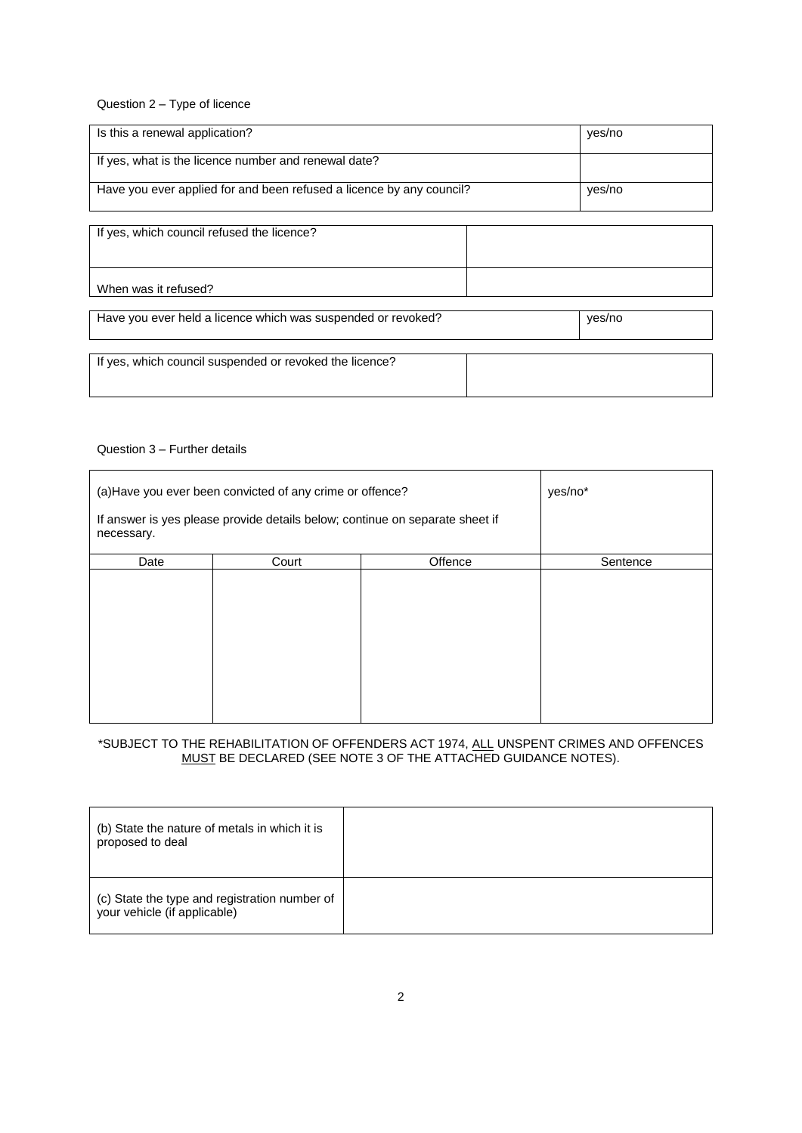Question 2 – Type of licence

| Is this a renewal application?                                       | yes/no |
|----------------------------------------------------------------------|--------|
| If yes, what is the licence number and renewal date?                 |        |
| Have you ever applied for and been refused a licence by any council? | yes/no |

If yes, which council refused the licence? When was it refused?

| Have you ever held a licence which was suspended or revoked? |  | yes/no |
|--------------------------------------------------------------|--|--------|
| If yes, which council suspended or revoked the licence?      |  |        |

#### Question 3 – Further details

| (a) Have you ever been convicted of any crime or offence?                                  |       |         | yes/no*  |
|--------------------------------------------------------------------------------------------|-------|---------|----------|
| If answer is yes please provide details below; continue on separate sheet if<br>necessary. |       |         |          |
| Date                                                                                       | Court | Offence | Sentence |
|                                                                                            |       |         |          |

### \*SUBJECT TO THE REHABILITATION OF OFFENDERS ACT 1974, ALL UNSPENT CRIMES AND OFFENCES MUST BE DECLARED (SEE NOTE 3 OF THE ATTACHED GUIDANCE NOTES).

| (b) State the nature of metals in which it is<br>proposed to deal             |  |
|-------------------------------------------------------------------------------|--|
| (c) State the type and registration number of<br>your vehicle (if applicable) |  |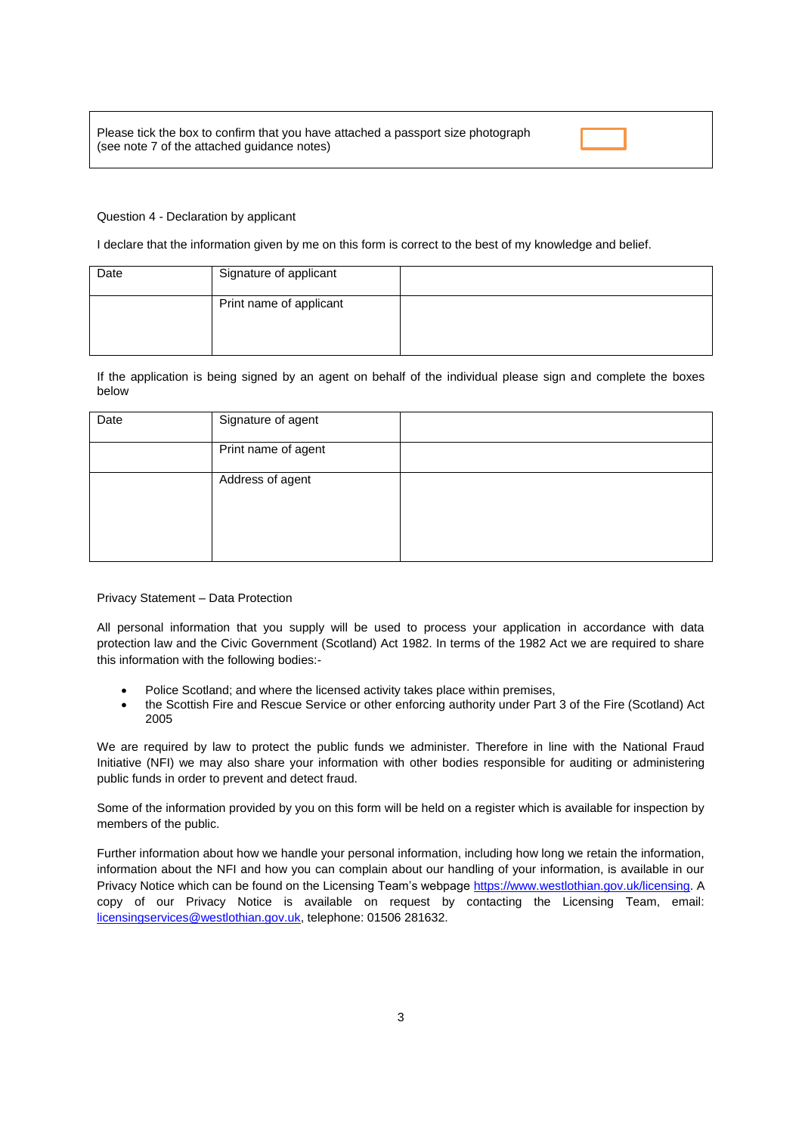#### Question 4 - Declaration by applicant

I declare that the information given by me on this form is correct to the best of my knowledge and belief.

| Date | Signature of applicant  |  |
|------|-------------------------|--|
|      | Print name of applicant |  |

If the application is being signed by an agent on behalf of the individual please sign and complete the boxes below

| Date | Signature of agent  |  |
|------|---------------------|--|
|      | Print name of agent |  |
|      | Address of agent    |  |

Privacy Statement – Data Protection

All personal information that you supply will be used to process your application in accordance with data protection law and the Civic Government (Scotland) Act 1982. In terms of the 1982 Act we are required to share this information with the following bodies:-

- Police Scotland; and where the licensed activity takes place within premises,
- the Scottish Fire and Rescue Service or other enforcing authority under Part 3 of the Fire (Scotland) Act 2005

We are required by law to protect the public funds we administer. Therefore in line with the National Fraud Initiative (NFI) we may also share your information with other bodies responsible for auditing or administering public funds in order to prevent and detect fraud.

Some of the information provided by you on this form will be held on a register which is available for inspection by members of the public.

Further information about how we handle your personal information, including how long we retain the information, information about the NFI and how you can complain about our handling of your information, is available in our Privacy Notice which can be found on the Licensing Team's webpag[e https://www.westlothian.gov.uk/licensing.](https://www.westlothian.gov.uk/licensing) A copy of our Privacy Notice is available on request by contacting the Licensing Team, email: [licensingservices@westlothian.gov.uk,](mailto:licensingservices@westlothian.gov.uk) telephone: 01506 281632.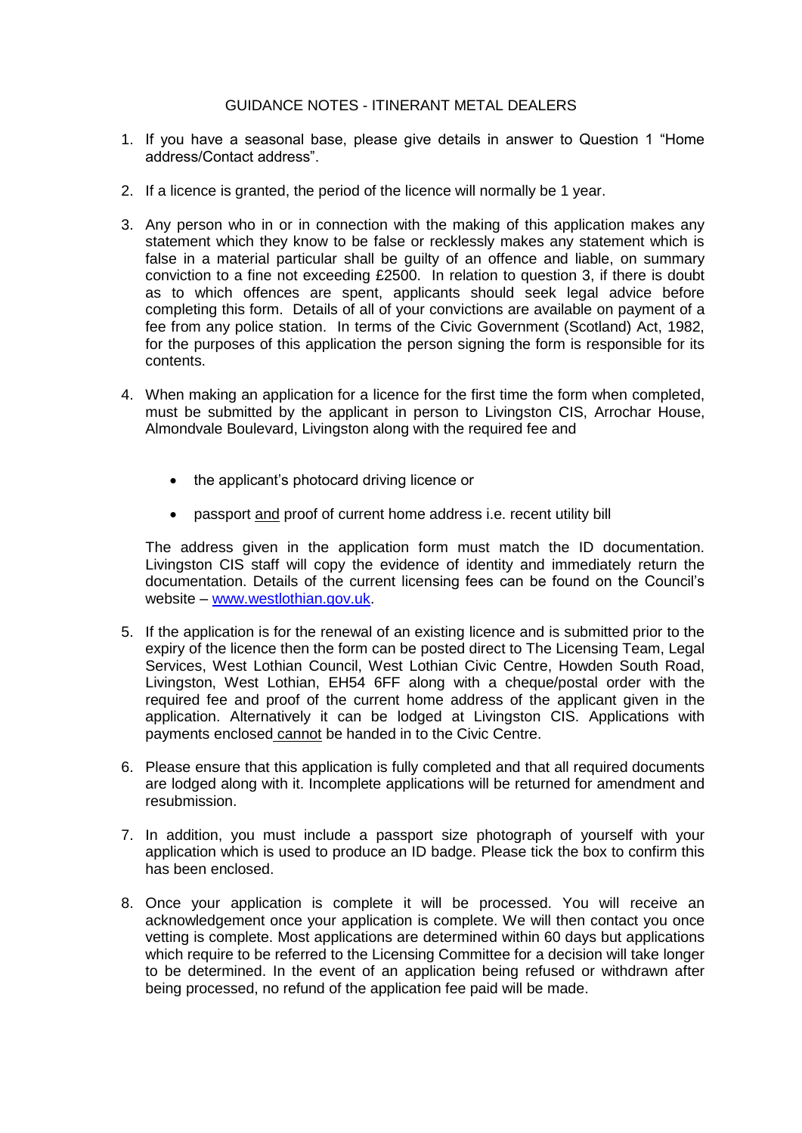## GUIDANCE NOTES - ITINERANT METAL DEALERS

- 1. If you have a seasonal base, please give details in answer to Question 1 "Home address/Contact address".
- 2. If a licence is granted, the period of the licence will normally be 1 year.
- 3. Any person who in or in connection with the making of this application makes any statement which they know to be false or recklessly makes any statement which is false in a material particular shall be guilty of an offence and liable, on summary conviction to a fine not exceeding £2500. In relation to question 3, if there is doubt as to which offences are spent, applicants should seek legal advice before completing this form. Details of all of your convictions are available on payment of a fee from any police station. In terms of the Civic Government (Scotland) Act, 1982, for the purposes of this application the person signing the form is responsible for its contents.
- 4. When making an application for a licence for the first time the form when completed, must be submitted by the applicant in person to Livingston CIS, Arrochar House, Almondvale Boulevard, Livingston along with the required fee and
	- the applicant's photocard driving licence or
	- passport and proof of current home address i.e. recent utility bill

The address given in the application form must match the ID documentation. Livingston CIS staff will copy the evidence of identity and immediately return the documentation. Details of the current licensing fees can be found on the Council's website – [www.westlothian.gov.uk.](http://www.westlothian.gov.uk/)

- 5. If the application is for the renewal of an existing licence and is submitted prior to the expiry of the licence then the form can be posted direct to The Licensing Team, Legal Services, West Lothian Council, West Lothian Civic Centre, Howden South Road, Livingston, West Lothian, EH54 6FF along with a cheque/postal order with the required fee and proof of the current home address of the applicant given in the application. Alternatively it can be lodged at Livingston CIS. Applications with payments enclosed cannot be handed in to the Civic Centre.
- 6. Please ensure that this application is fully completed and that all required documents are lodged along with it. Incomplete applications will be returned for amendment and resubmission.
- 7. In addition, you must include a passport size photograph of yourself with your application which is used to produce an ID badge. Please tick the box to confirm this has been enclosed.
- 8. Once your application is complete it will be processed. You will receive an acknowledgement once your application is complete. We will then contact you once vetting is complete. Most applications are determined within 60 days but applications which require to be referred to the Licensing Committee for a decision will take longer to be determined. In the event of an application being refused or withdrawn after being processed, no refund of the application fee paid will be made.